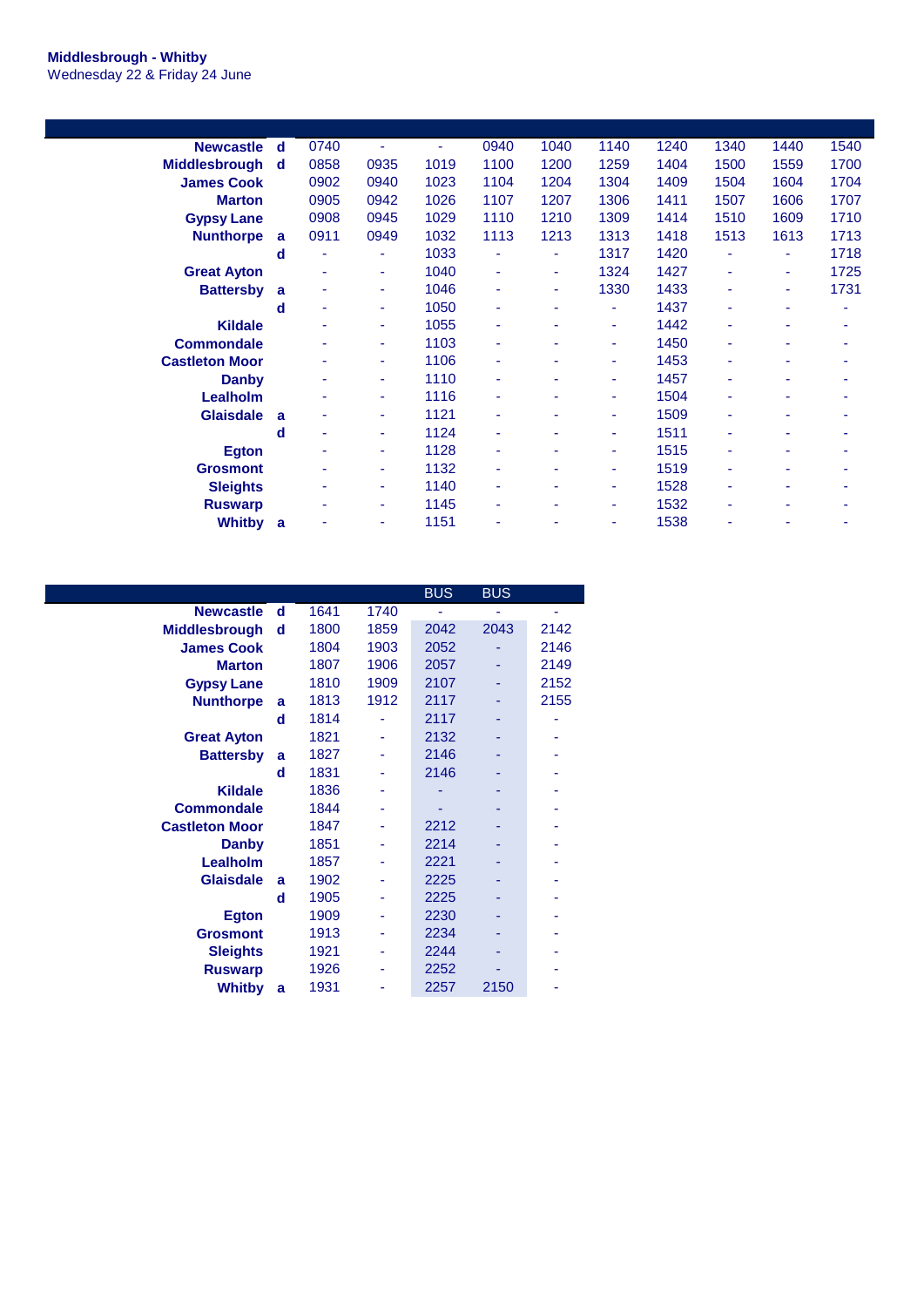## **Middlesbrough - Whitby** Wednesday 22 & Friday 24 June

| <b>Newcastle</b>      | d        | 0740 | $\overline{\phantom{a}}$ | ٠    | 0940 | 1040 | 1140   | 1240 | 1340 | 1440 | 1540 |
|-----------------------|----------|------|--------------------------|------|------|------|--------|------|------|------|------|
| <b>Middlesbrough</b>  | <b>d</b> | 0858 | 0935                     | 1019 | 1100 | 1200 | 1259   | 1404 | 1500 | 1559 | 1700 |
| <b>James Cook</b>     |          | 0902 | 0940                     | 1023 | 1104 | 1204 | 1304   | 1409 | 1504 | 1604 | 1704 |
| <b>Marton</b>         |          | 0905 | 0942                     | 1026 | 1107 | 1207 | 1306   | 1411 | 1507 | 1606 | 1707 |
| <b>Gypsy Lane</b>     |          | 0908 | 0945                     | 1029 | 1110 | 1210 | 1309   | 1414 | 1510 | 1609 | 1710 |
| <b>Nunthorpe</b>      | a        | 0911 | 0949                     | 1032 | 1113 | 1213 | 1313   | 1418 | 1513 | 1613 | 1713 |
|                       | d        |      | ä,                       | 1033 |      | u.   | 1317   | 1420 | ÷    | ٠    | 1718 |
| <b>Great Ayton</b>    |          | ٠    | ٠                        | 1040 | ٠    | ٠    | 1324   | 1427 | ٠    | ٠    | 1725 |
| <b>Battersby</b>      | a        |      | ٠                        | 1046 |      | ٠    | 1330   | 1433 | ۰    | ٠    | 1731 |
|                       | d        | ٠    | ٠                        | 1050 | ٠    | ٠    | $\sim$ | 1437 | ۰    | ٠    | ٠    |
| <b>Kildale</b>        |          | ٠    | ٠                        | 1055 | ٠    | ۰    | ٠      | 1442 | ۰    | ٠    | ۰    |
| <b>Commondale</b>     |          |      | ٠                        | 1103 | ٠    |      | ٠      | 1450 | ۰    | ٠    |      |
| <b>Castleton Moor</b> |          | ٠    | ٠                        | 1106 | ٠    |      | ٠      | 1453 | ٠    | ۰    |      |
| Danby                 |          | ٠    | ٠                        | 1110 | ٠    |      | ٠      | 1457 | ۰    | ٠    | ۰    |
| Lealholm              |          | ۰    | $\sim$                   | 1116 | ٠    |      | ٠      | 1504 | ۰    | ٠    | ٠    |
| <b>Glaisdale</b>      | a        |      | ٠                        | 1121 | ٠    |      | ٠      | 1509 | ۰    | ٠    |      |
|                       | d        | ٠    | ٠                        | 1124 | ٠    |      | ٠      | 1511 | ٠    | ٠    |      |
| Egton                 |          | ٠    | ٠                        | 1128 |      |      |        | 1515 | ۰    | ۰    |      |
| <b>Grosmont</b>       |          | ۰    | ٠                        | 1132 | ٠    | ۰    | ٠      | 1519 | ٠    | ۰    | ۰    |
| <b>Sleights</b>       |          | ٠    | ٠                        | 1140 | ٠    |      | ٠      | 1528 | ۰    | ۰    | ۰    |
| <b>Ruswarp</b>        |          | ۰    | ٠                        | 1145 |      |      | ٠      | 1532 | ٠    | ۰    |      |
| Whitby                | a        |      | ۰                        | 1151 |      |      | ۰      | 1538 | ۰    |      |      |
|                       |          |      |                          |      |      |      |        |      |      |      |      |

|                       |   |      |      | <b>BUS</b> | <b>BUS</b> |      |
|-----------------------|---|------|------|------------|------------|------|
| <b>Newcastle</b>      | d | 1641 | 1740 |            |            |      |
| <b>Middlesbrough</b>  | d | 1800 | 1859 | 2042       | 2043       | 2142 |
| <b>James Cook</b>     |   | 1804 | 1903 | 2052       |            | 2146 |
| <b>Marton</b>         |   | 1807 | 1906 | 2057       |            | 2149 |
| <b>Gypsy Lane</b>     |   | 1810 | 1909 | 2107       |            | 2152 |
| <b>Nunthorpe</b>      | a | 1813 | 1912 | 2117       |            | 2155 |
|                       | d | 1814 |      | 2117       |            |      |
| <b>Great Ayton</b>    |   | 1821 |      | 2132       |            |      |
| <b>Battersby</b>      | a | 1827 |      | 2146       |            |      |
|                       | d | 1831 |      | 2146       |            |      |
| <b>Kildale</b>        |   | 1836 |      |            |            |      |
| <b>Commondale</b>     |   | 1844 |      |            |            |      |
| <b>Castleton Moor</b> |   | 1847 |      | 2212       |            |      |
| <b>Danby</b>          |   | 1851 |      | 2214       |            |      |
| Lealholm              |   | 1857 |      | 2221       |            |      |
| <b>Glaisdale</b>      | a | 1902 |      | 2225       |            |      |
|                       | d | 1905 |      | 2225       |            |      |
| <b>Egton</b>          |   | 1909 |      | 2230       |            |      |
| <b>Grosmont</b>       |   | 1913 |      | 2234       |            |      |
| <b>Sleights</b>       |   | 1921 |      | 2244       |            |      |
| <b>Ruswarp</b>        |   | 1926 |      | 2252       |            |      |
| <b>Whitby</b>         | a | 1931 |      | 2257       | 2150       |      |